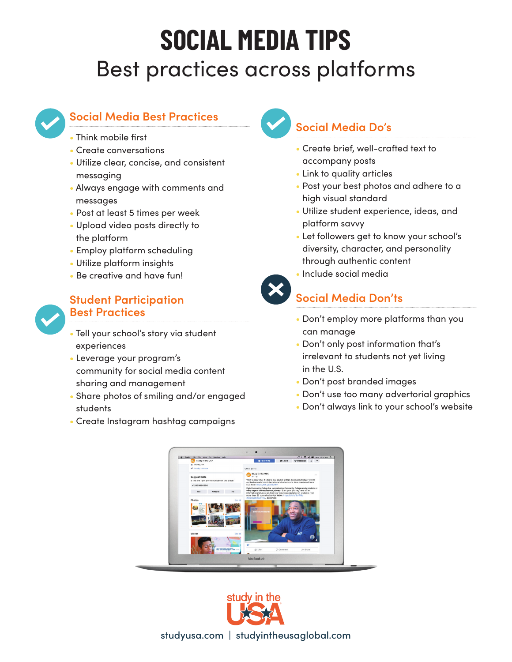# **SOCIAL MEDIA TIPS** Best practices across platforms



# **Social Media Best Practices**

- Think mobile first
- Create conversations
- Utilize clear, concise, and consistent messaging
- Always engage with comments and messages
- Post at least 5 times per week
- Upload video posts directly to the platform
- Employ platform scheduling
- Utilize platform insights
- Be creative and have fun!



## **Student Participation Best Practices**

- Tell your school's story via student experiences
- Leverage your program's community for social media content sharing and management
- Share photos of smiling and/or engaged students
- Create Instagram hashtag campaigns

# **Social Media Do's**

- Create brief, well-crafted text to accompany posts
- Link to quality articles
- Post your best photos and adhere to a high visual standard
- Utilize student experience, ideas, and platform savvy
- Let followers get to know your school's diversity, character, and personality through authentic content



## **Social Media Don'ts**

• Include social media

- Don't employ more platforms than you can manage
- Don't only post information that's irrelevant to students not yet living in the U.S.
- Don't post branded images
- Don't use too many advertorial graphics
- Don't always link to your school's website





studyusa.com | studyintheusaglobal.com